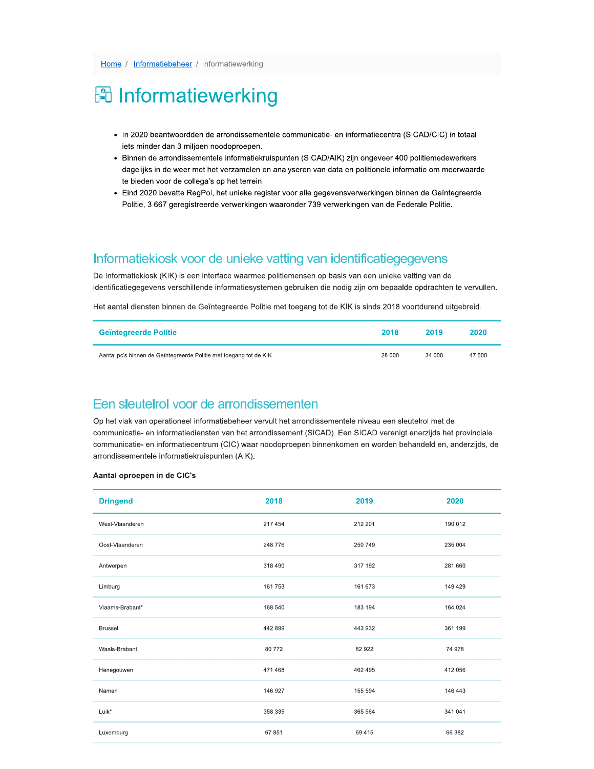# **图 Informatiewerking**

- · In 2020 beantwoordden de arrondissementele communicatie- en informatiecentra (SICAD/CIC) in totaal iets minder dan 3 miljoen noodoproepen.
- · Binnen de arrondissementele informatiekruispunten (SICAD/AIK) zijn ongeveer 400 politiemedewerkers dagelijks in de weer met het verzamelen en analyseren van data en politionele informatie om meerwaarde te bieden voor de collega's op het terrein.
- · Eind 2020 bevatte RegPol, het unieke register voor alle gegevensverwerkingen binnen de Geïntegreerde Politie, 3 667 geregistreerde verwerkingen waaronder 739 verwerkingen van de Federale Politie.

## Informatiekiosk voor de unieke vatting van identificatiegegevens

De Informatiekiosk (KIK) is een interface waarmee politiemensen op basis van een unieke vatting van de identificatiegegevens verschillende informatiesystemen gebruiken die nodig zijn om bepaalde opdrachten te vervullen.

Het aantal diensten binnen de Geïntegreerde Politie met toegang tot de KIK is sinds 2018 voortdurend uitgebreid.

| <b>Geïntegreerde Politie</b>                                       | 2018   | 2019   | 2020   |
|--------------------------------------------------------------------|--------|--------|--------|
| Aantal pc's binnen de Geïntegreerde Politie met toegang tot de KIK | 28 000 | 34 000 | 47 500 |

### Een sleutelrol voor de arrondissementen

Op het vlak van operationeel informatiebeheer vervult het arrondissementele niveau een sleutelrol met de communicatie- en informatiediensten van het arrondissement (SICAD). Een SICAD verenigt enerzijds het provinciale communicatie- en informatiecentrum (CIC) waar noodoproepen binnenkomen en worden behandeld en, anderzijds, de arrondissementele informatiekruispunten (AIK).

#### Aantal oproepen in de CIC's

| <b>Dringend</b> | 2018    | 2019    | 2020    |
|-----------------|---------|---------|---------|
| West-Vlaanderen | 217 454 | 212 201 | 190 012 |
| Oost-Vlaanderen | 248 776 | 250 749 | 235 004 |
| Antwerpen       | 318 490 | 317 192 | 281 660 |
| Limburg         | 161 753 | 161 673 | 149 429 |
| Vlaams-Brabant* | 168 540 | 183 194 | 164 024 |
| <b>Brussel</b>  | 442 899 | 443 932 | 361 199 |
| Waals-Brabant   | 80772   | 82 922  | 74 978  |
| Henegouwen      | 471 468 | 462 495 | 412 056 |
| Namen           | 146 927 | 155 594 | 146 443 |
| Luik*           | 358 335 | 365 564 | 341 041 |
| Luxemburg       | 67 851  | 69 4 15 | 66 382  |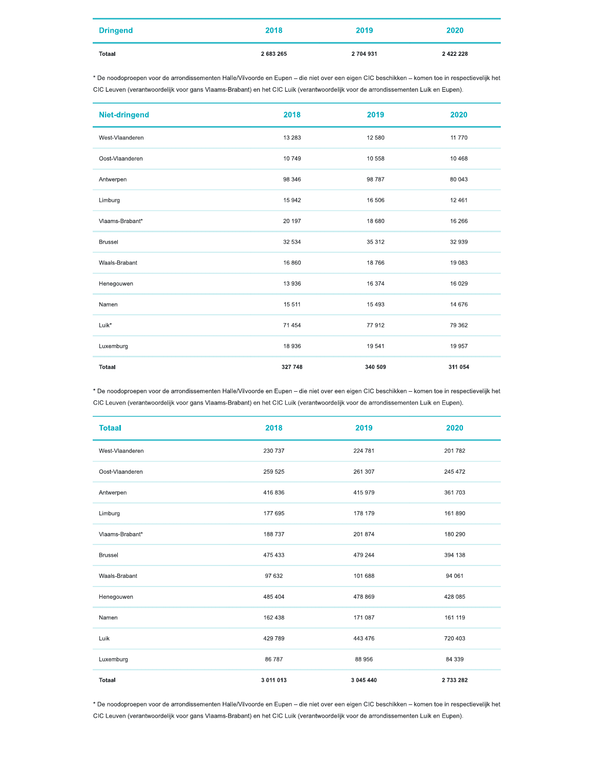| <b>Dringend</b> | 2018      | 2019      | 2020          |
|-----------------|-----------|-----------|---------------|
| Totaal          | 2 683 265 | 2 704 931 | 2 4 2 2 2 2 8 |

\* De noodoproepen voor de arrondissementen Halle/Vilvoorde en Eupen - die niet over een eigen CIC beschikken - komen toe in respectievelijk het CIC Leuven (verantwoordelijk voor gans Vlaams-Brabant) en het CIC Luik (verantwoordelijk voor de arrondissementen Luik en Eupen).

| Niet-dringend   | 2018    | 2019    | 2020    |
|-----------------|---------|---------|---------|
| West-Vlaanderen | 13 28 3 | 12 580  | 11 770  |
| Oost-Vlaanderen | 10749   | 10 558  | 10 4 68 |
| Antwerpen       | 98 346  | 98 787  | 80 043  |
| Limburg         | 15 942  | 16 506  | 12 4 61 |
| Vlaams-Brabant* | 20 197  | 18 680  | 16 26 6 |
| <b>Brussel</b>  | 32 534  | 35 312  | 32 939  |
| Waals-Brabant   | 16 860  | 18766   | 19 083  |
| Henegouwen      | 13 936  | 16 374  | 16 0 29 |
| Namen           | 15 511  | 15 4 93 | 14 676  |
| Luik*           | 71 454  | 77912   | 79 362  |
| Luxemburg       | 18 936  | 19541   | 19 957  |
| <b>Totaal</b>   | 327 748 | 340 509 | 311 054 |

\* De noodoproepen voor de arrondissementen Halle/Vilvoorde en Eupen - die niet over een eigen CIC beschikken - komen toe in respectievelijk het CIC Leuven (verantwoordelijk voor gans Vlaams-Brabant) en het CIC Luik (verantwoordelijk voor de arrondissementen Luik en Eupen).

| <b>Totaal</b>   | 2018      | 2019      | 2020      |
|-----------------|-----------|-----------|-----------|
| West-Vlaanderen | 230 737   | 224 781   | 201 782   |
| Oost-Vlaanderen | 259 525   | 261 307   | 245 472   |
| Antwerpen       | 416 836   | 415 979   | 361 703   |
| Limburg         | 177 695   | 178 179   | 161 890   |
| Vlaams-Brabant* | 188 737   | 201 874   | 180 290   |
| <b>Brussel</b>  | 475 433   | 479 244   | 394 138   |
| Waals-Brabant   | 97 632    | 101 688   | 94 061    |
| Henegouwen      | 485 404   | 478 869   | 428 085   |
| Namen           | 162 438   | 171 087   | 161 119   |
| Luik            | 429 789   | 443 476   | 720 403   |
| Luxemburg       | 86 787    | 88 956    | 84 339    |
| <b>Totaal</b>   | 3 011 013 | 3 045 440 | 2 733 282 |

\* De noodoproepen voor de arrondissementen Halle/Vilvoorde en Eupen - die niet over een eigen CIC beschikken - komen toe in respectievelijk het CIC Leuven (verantwoordelijk voor gans Vlaams-Brabant) en het CIC Luik (verantwoordelijk voor de arrondissementen Luik en Eupen).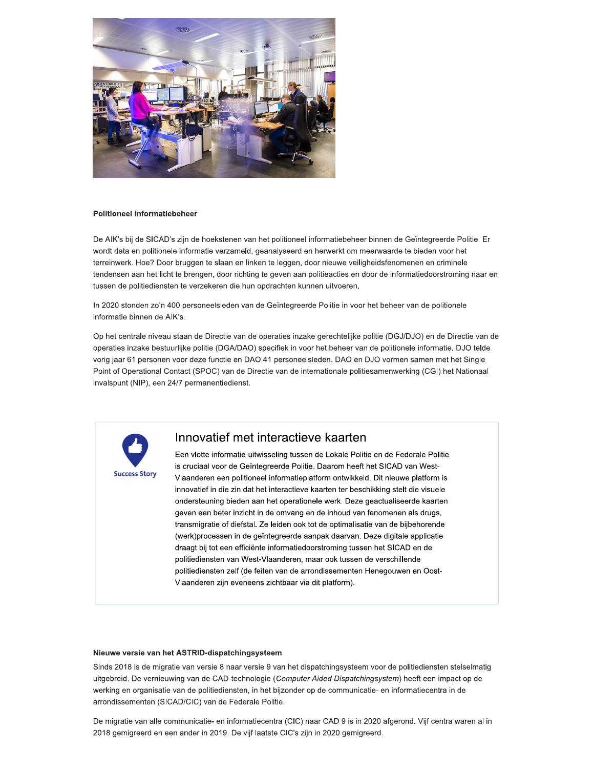

#### **Politioneel informatiebeheer**

De AIK's bij de SICAD's zijn de hoekstenen van het politioneel informatiebeheer binnen de Geïntegreerde Politie. Er wordt data en politionele informatie verzameld, geanalyseerd en herwerkt om meerwaarde te bieden voor het terreinwerk. Hoe? Door bruggen te slaan en linken te leggen, door nieuwe veiligheidsfenomenen en criminele tendensen aan het licht te brengen, door richting te geven aan politieacties en door de informatiedoorstroming naar en tussen de politiediensten te verzekeren die hun opdrachten kunnen uitvoeren.

In 2020 stonden zo'n 400 personeelsleden van de Geïntegreerde Politie in voor het beheer van de politionele informatie binnen de AIK's.

Op het centrale niveau staan de Directie van de operaties inzake gerechtelijke politie (DGJ/DJO) en de Directie van de operaties inzake bestuurlijke politie (DGA/DAO) specifiek in voor het beheer van de politionele informatie. DJO telde vorig jaar 61 personen voor deze functie en DAO 41 personeelsleden. DAO en DJO vormen samen met het Single Point of Operational Contact (SPOC) van de Directie van de internationale politiesamenwerking (CGI) het Nationaal invalspunt (NIP), een 24/7 permanentiedienst.



### Innovatief met interactieve kaarten

Een vlotte informatie-uitwisseling tussen de Lokale Politie en de Federale Politie is cruciaal voor de Geïntegreerde Politie. Daarom heeft het SICAD van West-Vlaanderen een politioneel informatieplatform ontwikkeld. Dit nieuwe platform is innovatief in die zin dat het interactieve kaarten ter beschikking stelt die visuele ondersteuning bieden aan het operationele werk. Deze geactualiseerde kaarten geven een beter inzicht in de omvang en de inhoud van fenomenen als drugs, transmigratie of diefstal. Ze leiden ook tot de optimalisatie van de bijbehorende (werk)processen in de geïntegreerde aanpak daarvan. Deze digitale applicatie draagt bij tot een efficiente informatiedoorstroming tussen het SICAD en de politiediensten van West-Vlaanderen, maar ook tussen de verschillende politiediensten zelf (de feiten van de arrondissementen Henegouwen en Oost-Vlaanderen zijn eveneens zichtbaar via dit platform).

#### Nieuwe versie van het ASTRID-dispatchingsysteem

Sinds 2018 is de migratie van versie 8 naar versie 9 van het dispatchingsysteem voor de politiediensten stelselmatig uitgebreid. De vernieuwing van de CAD-technologie (Computer Aided Dispatchingsystem) heeft een impact op de werking en organisatie van de politiediensten, in het bijzonder op de communicatie- en informatiecentra in de arrondissementen (SICAD/CIC) van de Federale Politie.

De migratie van alle communicatie- en informatiecentra (CIC) naar CAD 9 is in 2020 afgerond. Vijf centra waren al in 2018 gemigreerd en een ander in 2019. De vijf laatste CIC's zijn in 2020 gemigreerd.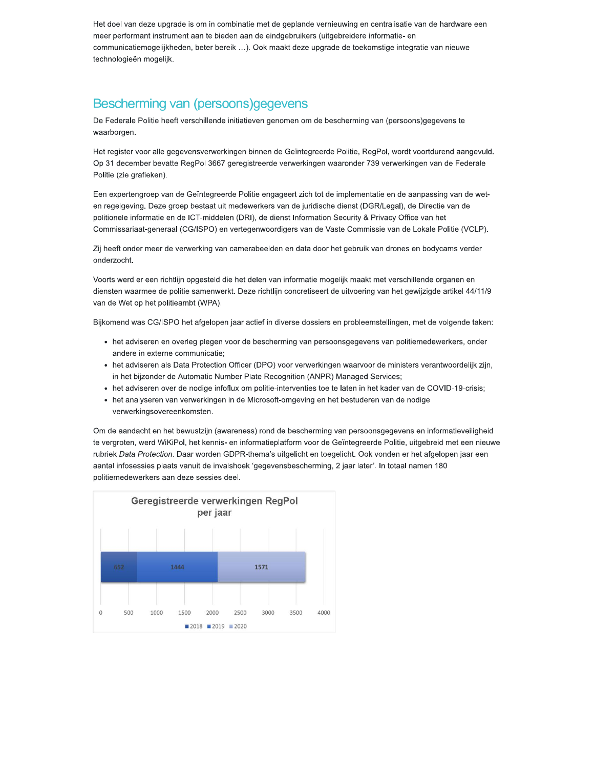Het doel van deze upgrade is om in combinatie met de geplande vernieuwing en centralisatie van de hardware een meer performant instrument aan te bieden aan de eindgebruikers (uitgebreidere informatie- en communicatiemogelijkheden, beter bereik ...). Ook maakt deze upgrade de toekomstige integratie van nieuwe technologieën mogelijk.

# Bescherming van (persoons)gegevens

De Federale Politie heeft verschillende initiatieven genomen om de bescherming van (persoons)gegevens te waarborgen.

Het register voor alle gegevensverwerkingen binnen de Geïntegreerde Politie, RegPol, wordt voortdurend aangevuld, Op 31 december bevatte RegPol 3667 geregistreerde verwerkingen waaronder 739 verwerkingen van de Federale Politie (zie grafieken).

Een expertengroep van de Geïntegreerde Politie engageert zich tot de implementatie en de aanpassing van de weten regelgeving. Deze groep bestaat uit medewerkers van de juridische dienst (DGR/Legal), de Directie van de politionele informatie en de ICT-middelen (DRI), de dienst Information Security & Privacy Office van het Commissariaat-generaal (CG/ISPO) en vertegenwoordigers van de Vaste Commissie van de Lokale Politie (VCLP).

Zij heeft onder meer de verwerking van camerabeelden en data door het gebruik van drones en bodycams verder onderzocht.

Voorts werd er een richtlijn opgesteld die het delen van informatie mogelijk maakt met verschillende organen en diensten waarmee de politie samenwerkt. Deze richtlijn concretiseert de uitvoering van het gewijzigde artikel 44/11/9 van de Wet op het politieambt (WPA).

Bijkomend was CG/ISPO het afgelopen jaar actief in diverse dossiers en probleemstellingen, met de volgende taken:

- het adviseren en overleg plegen voor de bescherming van persoonsgegevens van politiemedewerkers, onder andere in externe communicatie;
- het adviseren als Data Protection Officer (DPO) voor verwerkingen waarvoor de ministers verantwoordelijk zijn, in het bijzonder de Automatic Number Plate Recognition (ANPR) Managed Services;
- het adviseren over de nodige infoflux om politie-interventies toe te laten in het kader van de COVID-19-crisis;
- het analyseren van verwerkingen in de Microsoft-omgeving en het bestuderen van de nodige verwerkingsovereenkomsten.

Om de aandacht en het bewustzijn (awareness) rond de bescherming van persoonsgegevens en informatieveiligheid te vergroten, werd WiKiPol, het kennis- en informatieplatform voor de Geïntegreerde Politie, uitgebreid met een nieuwe rubriek Data Protection. Daar worden GDPR-thema's uitgelicht en toegelicht. Ook vonden er het afgelopen jaar een aantal infosessies plaats vanuit de invalshoek 'gegevensbescherming, 2 jaar later'. In totaal namen 180 politiemedewerkers aan deze sessies deel.